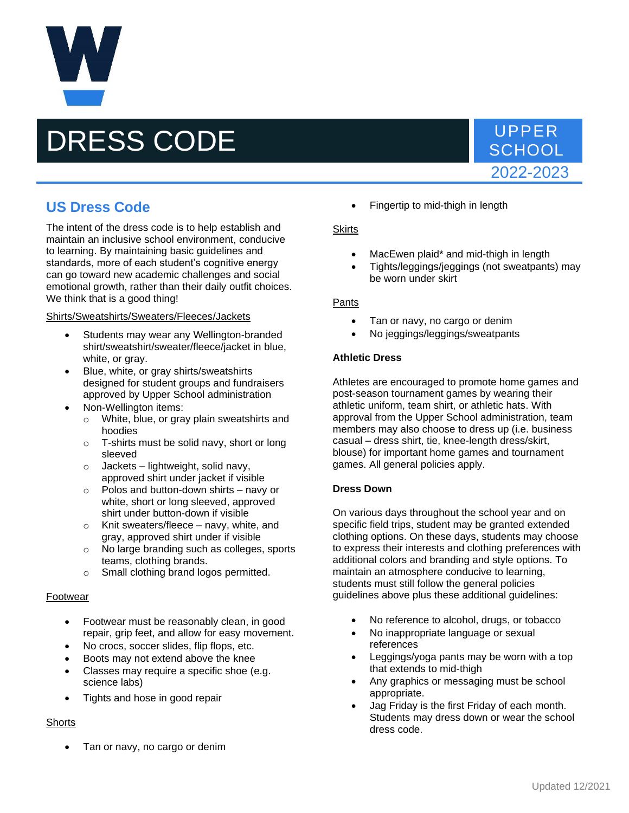# DRESS CODE VPPER

# **SCHOOL** 2022-2023

## **US Dress Code**

The intent of the dress code is to help establish and maintain an inclusive school environment, conducive to learning. By maintaining basic guidelines and standards, more of each student's cognitive energy can go toward new academic challenges and social emotional growth, rather than their daily outfit choices. We think that is a good thing!

#### Shirts/Sweatshirts/Sweaters/Fleeces/Jackets

- Students may wear any Wellington-branded shirt/sweatshirt/sweater/fleece/jacket in blue, white, or gray.
- Blue, white, or gray shirts/sweatshirts designed for student groups and fundraisers approved by Upper School administration
- Non-Wellington items:
	- o White, blue, or gray plain sweatshirts and hoodies
	- o T-shirts must be solid navy, short or long sleeved
	- $\circ$  Jackets lightweight, solid navy, approved shirt under jacket if visible
	- o Polos and button-down shirts navy or white, short or long sleeved, approved shirt under button-down if visible
	- o Knit sweaters/fleece navy, white, and gray, approved shirt under if visible
	- o No large branding such as colleges, sports teams, clothing brands.
	- o Small clothing brand logos permitted.

#### Footwear

- Footwear must be reasonably clean, in good repair, grip feet, and allow for easy movement.
- No crocs, soccer slides, flip flops, etc.
- Boots may not extend above the knee
- Classes may require a specific shoe (e.g. science labs)
- Tights and hose in good repair

### **Shorts**

• Tan or navy, no cargo or denim

• Fingertip to mid-thigh in length

#### **Skirts**

- MacEwen plaid\* and mid-thigh in length
- Tights/leggings/jeggings (not sweatpants) may be worn under skirt

#### Pants

- Tan or navy, no cargo or denim
- No jeggings/leggings/sweatpants

#### **Athletic Dress**

Athletes are encouraged to promote home games and post-season tournament games by wearing their athletic uniform, team shirt, or athletic hats. With approval from the Upper School administration, team members may also choose to dress up (i.e. business casual – dress shirt, tie, knee-length dress/skirt, blouse) for important home games and tournament games. All general policies apply.

#### **Dress Down**

On various days throughout the school year and on specific field trips, student may be granted extended clothing options. On these days, students may choose to express their interests and clothing preferences with additional colors and branding and style options. To maintain an atmosphere conducive to learning, students must still follow the general policies guidelines above plus these additional guidelines:

- No reference to alcohol, drugs, or tobacco
- No inappropriate language or sexual references
- Leggings/yoga pants may be worn with a top that extends to mid-thigh
- Any graphics or messaging must be school appropriate.
- Jag Friday is the first Friday of each month. Students may dress down or wear the school dress code.